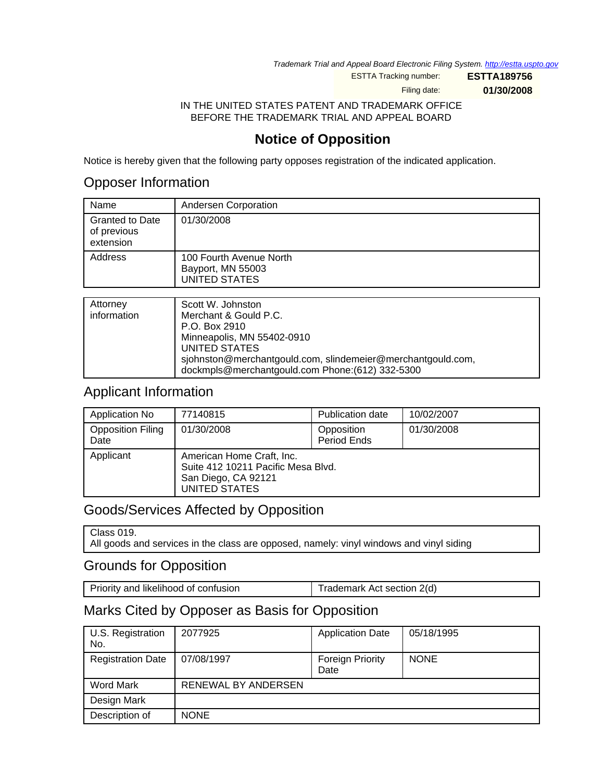Trademark Trial and Appeal Board Electronic Filing System. <http://estta.uspto.gov>

ESTTA Tracking number: **ESTTA189756**

Filing date: **01/30/2008**

IN THE UNITED STATES PATENT AND TRADEMARK OFFICE BEFORE THE TRADEMARK TRIAL AND APPEAL BOARD

# **Notice of Opposition**

Notice is hereby given that the following party opposes registration of the indicated application.

#### Opposer Information

| Name                                               | Andersen Corporation                                                 |
|----------------------------------------------------|----------------------------------------------------------------------|
| <b>Granted to Date</b><br>of previous<br>extension | 01/30/2008                                                           |
| Address                                            | 100 Fourth Avenue North<br>Bayport, MN 55003<br><b>UNITED STATES</b> |
|                                                    |                                                                      |
| Attorney                                           | Scott W. Johnston                                                    |

| Attorney    | Scott W. Johnston                                           |
|-------------|-------------------------------------------------------------|
| information | Merchant & Gould P.C.                                       |
|             | P.O. Box 2910                                               |
|             | Minneapolis, MN 55402-0910                                  |
|             | UNITED STATES                                               |
|             | sjohnston@merchantgould.com, slindemeier@merchantgould.com, |
|             | dockmpls@merchantgould.com Phone:(612) 332-5300             |

### Applicant Information

| Application No                   | 77140815                                                                                                | <b>Publication date</b>   | 10/02/2007 |
|----------------------------------|---------------------------------------------------------------------------------------------------------|---------------------------|------------|
| <b>Opposition Filing</b><br>Date | 01/30/2008                                                                                              | Opposition<br>Period Ends | 01/30/2008 |
| Applicant                        | American Home Craft, Inc.<br>Suite 412 10211 Pacific Mesa Blvd.<br>San Diego, CA 92121<br>UNITED STATES |                           |            |

## Goods/Services Affected by Opposition

Class 019. All goods and services in the class are opposed, namely: vinyl windows and vinyl siding

## Grounds for Opposition

Priority and likelihood of confusion Trademark Act section 2(d)

### Marks Cited by Opposer as Basis for Opposition

| U.S. Registration<br>No. | 2077925             | <b>Application Date</b>         | 05/18/1995  |
|--------------------------|---------------------|---------------------------------|-------------|
| <b>Registration Date</b> | 07/08/1997          | <b>Foreign Priority</b><br>Date | <b>NONE</b> |
| Word Mark                | RENEWAL BY ANDERSEN |                                 |             |
| Design Mark              |                     |                                 |             |
| Description of           | <b>NONE</b>         |                                 |             |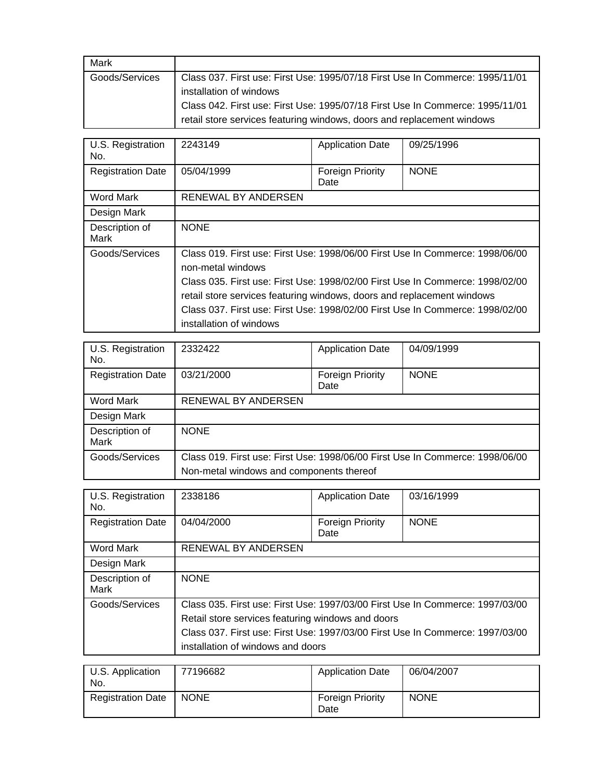| Mark           |                                                                               |
|----------------|-------------------------------------------------------------------------------|
| Goods/Services | Class 037. First use: First Use: 1995/07/18 First Use In Commerce: 1995/11/01 |
|                | installation of windows                                                       |
|                | Class 042. First use: First Use: 1995/07/18 First Use In Commerce: 1995/11/01 |
|                | retail store services featuring windows, doors and replacement windows        |

| U.S. Registration<br>No.      | 2243149                                                                                                                                                                                                                                                                                                                                                                   | <b>Application Date</b>         | 09/25/1996  |
|-------------------------------|---------------------------------------------------------------------------------------------------------------------------------------------------------------------------------------------------------------------------------------------------------------------------------------------------------------------------------------------------------------------------|---------------------------------|-------------|
| <b>Registration Date</b>      | 05/04/1999                                                                                                                                                                                                                                                                                                                                                                | <b>Foreign Priority</b><br>Date | <b>NONE</b> |
| Word Mark                     | RENEWAL BY ANDERSEN                                                                                                                                                                                                                                                                                                                                                       |                                 |             |
| Design Mark                   |                                                                                                                                                                                                                                                                                                                                                                           |                                 |             |
| Description of<br><b>Mark</b> | <b>NONE</b>                                                                                                                                                                                                                                                                                                                                                               |                                 |             |
| Goods/Services                | Class 019. First use: First Use: 1998/06/00 First Use In Commerce: 1998/06/00<br>non-metal windows<br>Class 035. First use: First Use: 1998/02/00 First Use In Commerce: 1998/02/00<br>retail store services featuring windows, doors and replacement windows<br>Class 037, First use: First Use: 1998/02/00 First Use In Commerce: 1998/02/00<br>installation of windows |                                 |             |

| U.S. Registration<br>No.      | 2332422                                                                       | <b>Application Date</b>  | 04/09/1999  |
|-------------------------------|-------------------------------------------------------------------------------|--------------------------|-------------|
| <b>Registration Date</b>      | 03/21/2000                                                                    | Foreign Priority<br>Date | <b>NONE</b> |
| Word Mark                     | RENEWAL BY ANDERSEN                                                           |                          |             |
| Design Mark                   |                                                                               |                          |             |
| Description of<br><b>Mark</b> | <b>NONE</b>                                                                   |                          |             |
| Goods/Services                | Class 019. First use: First Use: 1998/06/00 First Use In Commerce: 1998/06/00 |                          |             |
|                               | Non-metal windows and components thereof                                      |                          |             |

| U.S. Registration<br>No.      | 2338186                                                                       | <b>Application Date</b>  | 03/16/1999  |
|-------------------------------|-------------------------------------------------------------------------------|--------------------------|-------------|
| <b>Registration Date</b>      | 04/04/2000                                                                    | Foreign Priority<br>Date | <b>NONE</b> |
| Word Mark                     | RENEWAL BY ANDERSEN                                                           |                          |             |
| Design Mark                   |                                                                               |                          |             |
| Description of<br><b>Mark</b> | <b>NONE</b>                                                                   |                          |             |
| Goods/Services                | Class 035, First use: First Use: 1997/03/00 First Use In Commerce: 1997/03/00 |                          |             |
|                               | Retail store services featuring windows and doors                             |                          |             |
|                               | Class 037, First use: First Use: 1997/03/00 First Use In Commerce: 1997/03/00 |                          |             |
|                               | installation of windows and doors                                             |                          |             |

| U.S. Application<br>No.  | 77196682    | <b>Application Date</b>         | 06/04/2007  |
|--------------------------|-------------|---------------------------------|-------------|
| <b>Registration Date</b> | <b>NONE</b> | <b>Foreign Priority</b><br>Date | <b>NONE</b> |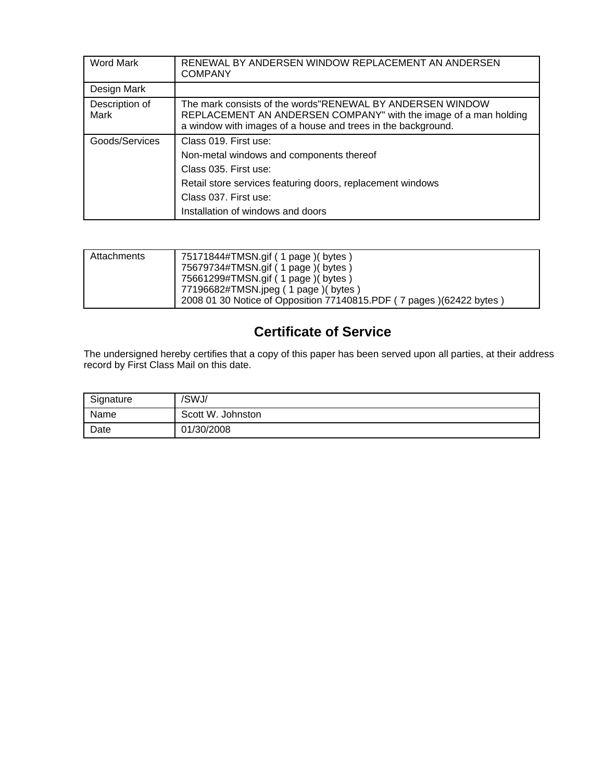| Word Mark                     | RENEWAL BY ANDERSEN WINDOW REPLACEMENT AN ANDERSEN<br><b>COMPANY</b>                                                                                                                          |
|-------------------------------|-----------------------------------------------------------------------------------------------------------------------------------------------------------------------------------------------|
| Design Mark                   |                                                                                                                                                                                               |
| Description of<br><b>Mark</b> | The mark consists of the words"RENEWAL BY ANDERSEN WINDOW<br>REPLACEMENT AN ANDERSEN COMPANY" with the image of a man holding<br>a window with images of a house and trees in the background. |
| Goods/Services                | Class 019. First use:<br>Non-metal windows and components thereof<br>Class 035. First use:                                                                                                    |
|                               | Retail store services featuring doors, replacement windows<br>Class 037. First use:<br>Installation of windows and doors                                                                      |

| Attachments | 75171844#TMSN.gif ( 1 page )( bytes )<br>75679734#TMSN.gif (1 page) (bytes)<br>75661299#TMSN.gif (1 page) (bytes) |
|-------------|-------------------------------------------------------------------------------------------------------------------|
|             | 77196682#TMSN.jpeg ( 1 page )( bytes )<br>2008 01 30 Notice of Opposition 77140815.PDF (7 pages) (62422 bytes)    |

# **Certificate of Service**

The undersigned hereby certifies that a copy of this paper has been served upon all parties, at their address record by First Class Mail on this date.

| Signature | /SWJ/             |
|-----------|-------------------|
| Name      | Scott W. Johnston |
| Date      | 01/30/2008        |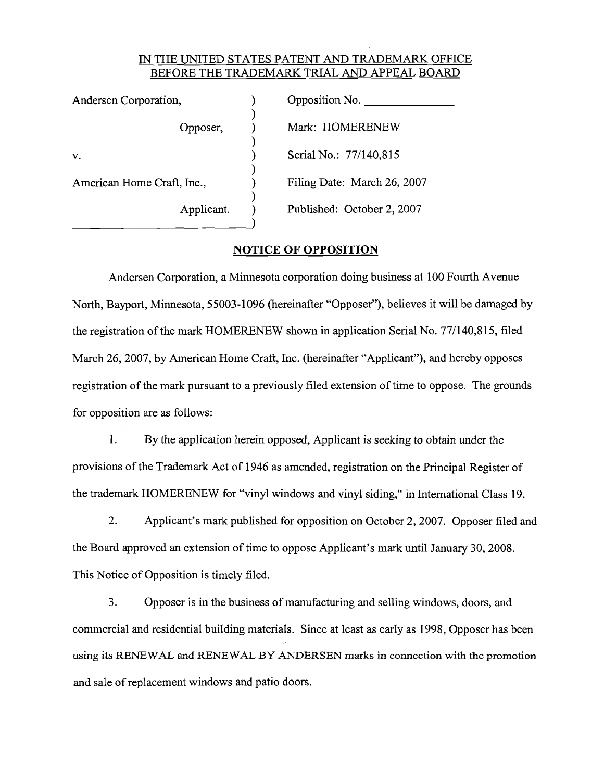#### IN THE UNITED STATES PATENT AND TRADEMARK OFFICE BEFORE THE TRADEMARK TRIAL AND APPEAL BOARD

| Andersen Corporation,      | Opposition No.              |  |  |
|----------------------------|-----------------------------|--|--|
| Opposer,                   | Mark: HOMERENEW             |  |  |
|                            |                             |  |  |
| v.                         | Serial No.: 77/140,815      |  |  |
| American Home Craft, Inc., | Filing Date: March 26, 2007 |  |  |
| Applicant.                 | Published: October 2, 2007  |  |  |

#### **NOTICE OF OPPOSITION**

Andersen Corporation, a Minnesota corporation doing business at 100 Fourth Avenue North, Bayport, Minnesota, 55003-1096 (hereinafter "Opposer"), believes it will be damaged by the registration of the mark HOMERENEW shown in application Serial No. 77/140,815, filed March 26, 2007, by American Home Craft, Inc. (hereinafter "Applicant"), and hereby opposes registration of the mark pursuant to a previously filed extension of time to oppose. The grounds for opposition are as follows:

 $1.$ By the application herein opposed, Applicant is seeking to obtain under the provisions of the Trademark Act of 1946 as amended, registration on the Principal Register of the trademark HOMERENEW for "vinyl windows and vinyl siding," in International Class 19.

 $2.$ Applicant's mark published for opposition on October 2, 2007. Opposer filed and the Board approved an extension of time to oppose Applicant's mark until January 30, 2008. This Notice of Opposition is timely filed.

3. Opposer is in the business of manufacturing and selling windows, doors, and commercial and residential building materials. Since at least as early as 1998, Opposer has been using its RENEWAL and RENEWAL BY ANDERSEN marks in connection with the promotion and sale of replacement windows and patio doors.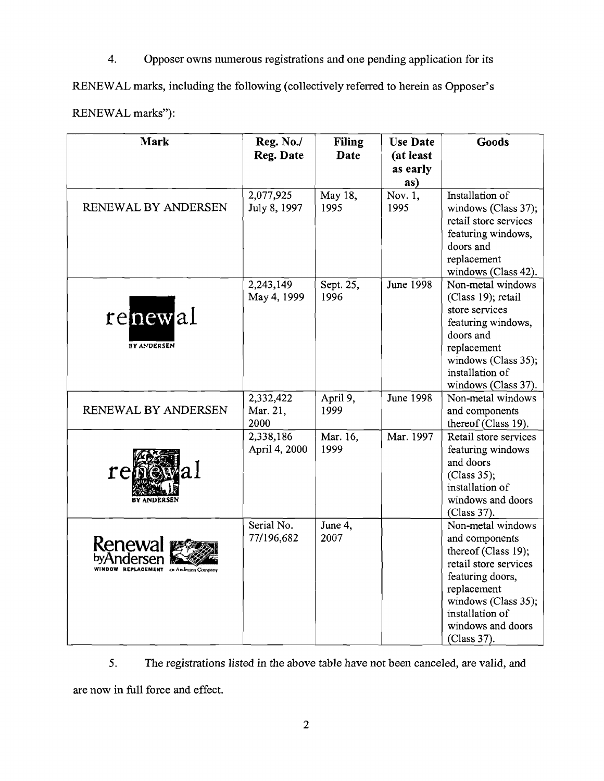$\overline{4}$ . Opposer owns numerous registrations and one pending application for its

RENEWAL marks, including the following (collectively referred to herein as Opposer's

| RENEWAL marks"): |  |
|------------------|--|
|------------------|--|

| <b>Mark</b>                        | Reg. No./                  | <b>Filing</b>    | <b>Use Date</b>       | <b>Goods</b>                               |
|------------------------------------|----------------------------|------------------|-----------------------|--------------------------------------------|
|                                    | Reg. Date                  | <b>Date</b>      | (at least<br>as early |                                            |
|                                    |                            |                  | as)                   |                                            |
|                                    | 2,077,925                  | May 18,          | Nov. 1,               | Installation of                            |
| RENEWAL BY ANDERSEN                | July 8, 1997               | 1995             | 1995                  | windows (Class 37);                        |
|                                    |                            |                  |                       | retail store services                      |
|                                    |                            |                  |                       | featuring windows,                         |
|                                    |                            |                  |                       | doors and<br>replacement                   |
|                                    |                            |                  |                       | windows (Class 42).                        |
|                                    | 2,243,149                  | Sept. 25,        | <b>June 1998</b>      | Non-metal windows                          |
|                                    | May 4, 1999                | 1996             |                       | (Class 19); retail                         |
|                                    |                            |                  |                       | store services                             |
| renewal                            |                            |                  |                       | featuring windows,                         |
|                                    |                            |                  |                       | doors and                                  |
| <b>BY ANDERSEN</b>                 |                            |                  |                       | replacement                                |
|                                    |                            |                  |                       | windows (Class 35);                        |
|                                    |                            |                  |                       | installation of                            |
|                                    |                            |                  |                       | windows (Class 37).                        |
|                                    | 2,332,422                  | April 9,         | <b>June 1998</b>      | Non-metal windows                          |
| RENEWAL BY ANDERSEN                | Mar. 21,                   | 1999             |                       | and components                             |
|                                    | 2000                       |                  | Mar. 1997             | thereof (Class 19).                        |
|                                    | 2,338,186<br>April 4, 2000 | Mar. 16,<br>1999 |                       | Retail store services<br>featuring windows |
|                                    |                            |                  |                       | and doors                                  |
| rei                                |                            |                  |                       | (Class 35);                                |
|                                    |                            |                  |                       | installation of                            |
|                                    |                            |                  |                       | windows and doors                          |
|                                    |                            |                  |                       | (Class 37).                                |
|                                    | Serial No.                 | June 4,          |                       | Non-metal windows                          |
| <b>Renewal</b>                     | 77/196,682                 | 2007             |                       | and components                             |
|                                    |                            |                  |                       | thereof (Class 19);                        |
| OW REPLACEMENT an Andersen Company |                            |                  |                       | retail store services                      |
|                                    |                            |                  |                       | featuring doors,                           |
|                                    |                            |                  |                       | replacement                                |
|                                    |                            |                  |                       | windows (Class 35);                        |
|                                    |                            |                  |                       | installation of<br>windows and doors       |
|                                    |                            |                  |                       | (Class 37).                                |
|                                    |                            |                  |                       |                                            |

The registrations listed in the above table have not been canceled, are valid, and 5.

are now in full force and effect.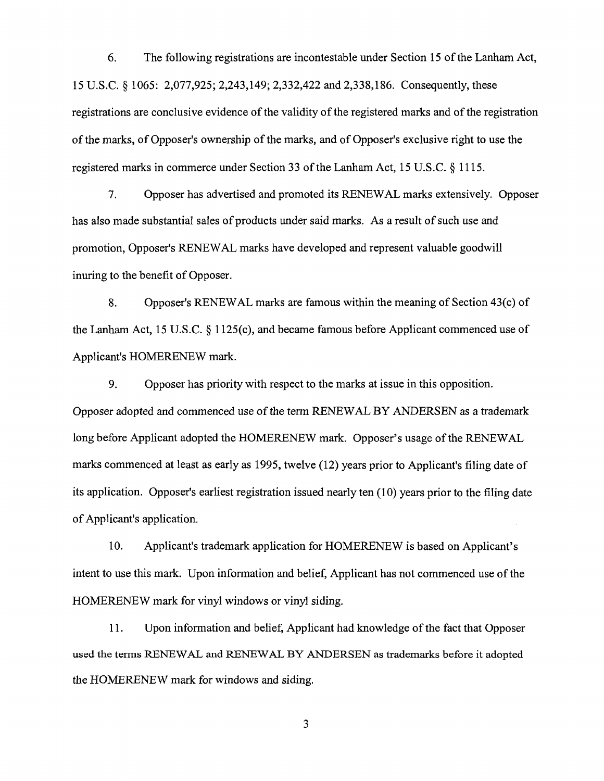6. The following registrations are incontestable under Section 15 of the Lanham Act, 15 U.S.C. § 1065: 2,077,925; 2,243,149; 2,332,422 and 2,338,186. Consequently, these registrations are conclusive evidence of the validity of the registered marks and of the registration of the marks, of Opposer's ownership of the marks, and of Opposer's exclusive right to use the registered marks in commerce under Section 33 of the Lanham Act, 15 U.S.C. § 1115.

Opposer has advertised and promoted its RENEWAL marks extensively. Opposer 7. has also made substantial sales of products under said marks. As a result of such use and promotion, Opposer's RENEWAL marks have developed and represent valuable goodwill inuring to the benefit of Opposer.

8. Opposer's RENEWAL marks are famous within the meaning of Section 43(c) of the Lanham Act, 15 U.S.C.  $\S 1125(c)$ , and became famous before Applicant commenced use of Applicant's HOMERENEW mark.

9. Opposer has priority with respect to the marks at issue in this opposition. Opposer adopted and commenced use of the term RENEWAL BY ANDERSEN as a trademark long before Applicant adopted the HOMERENEW mark. Opposer's usage of the RENEWAL marks commenced at least as early as 1995, twelve (12) years prior to Applicant's filing date of its application. Opposer's earliest registration issued nearly ten (10) years prior to the filing date of Applicant's application.

10. Applicant's trademark application for HOMERENEW is based on Applicant's intent to use this mark. Upon information and belief, Applicant has not commenced use of the HOMERENEW mark for vinyl windows or vinyl siding.

Upon information and belief, Applicant had knowledge of the fact that Opposer 11. used the terms RENEWAL and RENEWAL BY ANDERSEN as trademarks before it adopted the HOMERENEW mark for windows and siding.

3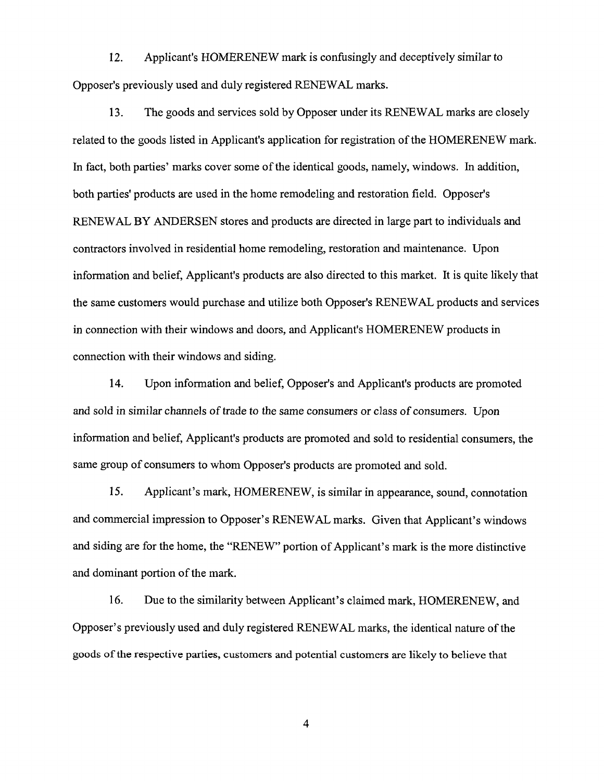$12.$ Applicant's HOMERENEW mark is confusingly and deceptively similar to Opposer's previously used and duly registered RENEWAL marks.

13. The goods and services sold by Opposer under its RENEWAL marks are closely related to the goods listed in Applicant's application for registration of the HOMERENEW mark. In fact, both parties' marks cover some of the identical goods, namely, windows. In addition, both parties' products are used in the home remodeling and restoration field. Opposer's RENEWAL BY ANDERSEN stores and products are directed in large part to individuals and contractors involved in residential home remodeling, restoration and maintenance. Upon information and belief, Applicant's products are also directed to this market. It is quite likely that the same customers would purchase and utilize both Opposer's RENEWAL products and services in connection with their windows and doors, and Applicant's HOMERENEW products in connection with their windows and siding.

14. Upon information and belief, Opposer's and Applicant's products are promoted and sold in similar channels of trade to the same consumers or class of consumers. Upon information and belief, Applicant's products are promoted and sold to residential consumers, the same group of consumers to whom Opposer's products are promoted and sold.

15. Applicant's mark, HOMERENEW, is similar in appearance, sound, connotation and commercial impression to Opposer's RENEWAL marks. Given that Applicant's windows and siding are for the home, the "RENEW" portion of Applicant's mark is the more distinctive and dominant portion of the mark.

16. Due to the similarity between Applicant's claimed mark, HOMERENEW, and Opposer's previously used and duly registered RENEWAL marks, the identical nature of the goods of the respective parties, customers and potential customers are likely to believe that

 $\overline{4}$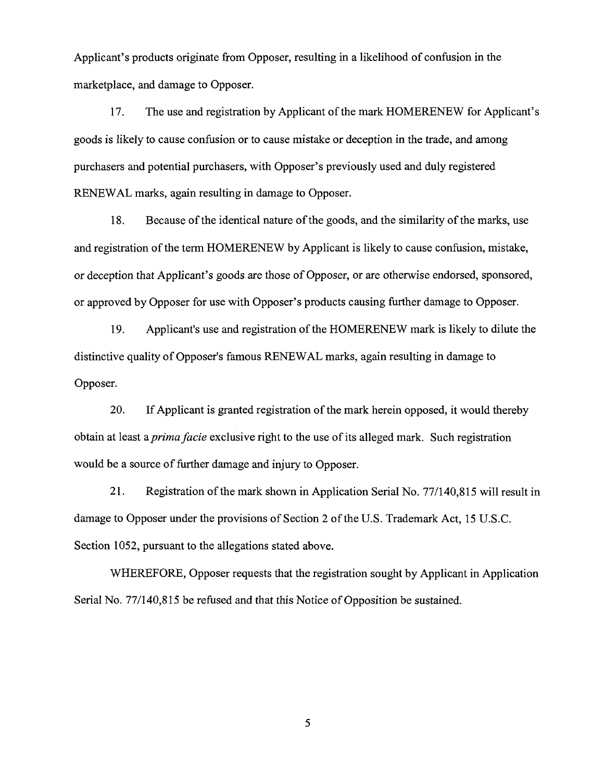Applicant's products originate from Opposer, resulting in a likelihood of confusion in the marketplace, and damage to Opposer.

The use and registration by Applicant of the mark HOMERENEW for Applicant's 17. goods is likely to cause confusion or to cause mistake or deception in the trade, and among purchasers and potential purchasers, with Opposer's previously used and duly registered RENEWAL marks, again resulting in damage to Opposer.

Because of the identical nature of the goods, and the similarity of the marks, use 18. and registration of the term HOMERENEW by Applicant is likely to cause confusion, mistake, or deception that Applicant's goods are those of Opposer, or are otherwise endorsed, sponsored, or approved by Opposer for use with Opposer's products causing further damage to Opposer.

19. Applicant's use and registration of the HOMERENEW mark is likely to dilute the distinctive quality of Opposer's famous RENEWAL marks, again resulting in damage to Opposer.

20. If Applicant is granted registration of the mark herein opposed, it would thereby obtain at least a *prima facie* exclusive right to the use of its alleged mark. Such registration would be a source of further damage and injury to Opposer.

 $21.$ Registration of the mark shown in Application Serial No. 77/140,815 will result in damage to Opposer under the provisions of Section 2 of the U.S. Trademark Act, 15 U.S.C. Section 1052, pursuant to the allegations stated above.

WHEREFORE, Opposer requests that the registration sought by Applicant in Application Serial No. 77/140,815 be refused and that this Notice of Opposition be sustained.

5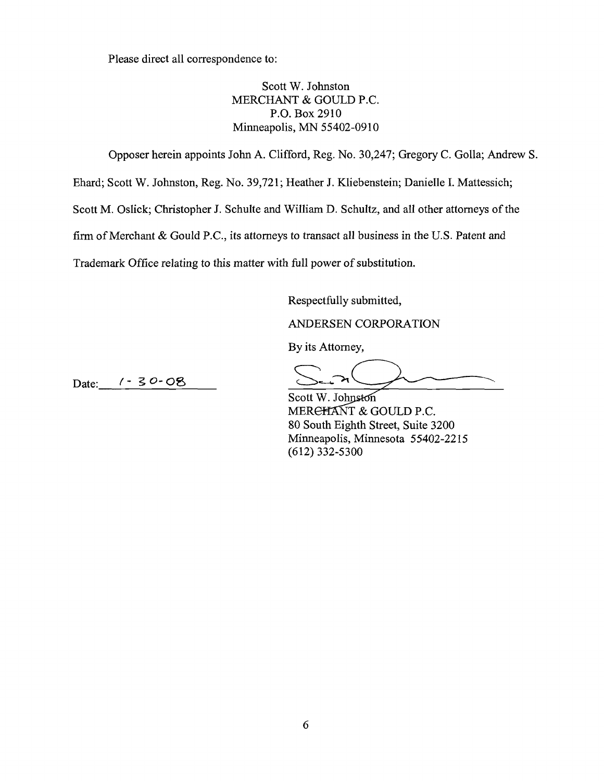Please direct all correspondence to:

Scott W. Johnston MERCHANT & GOULD P.C. P.O. Box 2910 Minneapolis, MN 55402-0910

Opposer herein appoints John A. Clifford, Reg. No. 30,247; Gregory C. Golla; Andrew S.

Ehard; Scott W. Johnston, Reg. No. 39,721; Heather J. Kliebenstein; Danielle I. Mattessich;

Scott M. Oslick; Christopher J. Schulte and William D. Schultz, and all other attorneys of the

firm of Merchant & Gould P.C., its attorneys to transact all business in the U.S. Patent and

Trademark Office relating to this matter with full power of substitution.

Respectfully submitted.

ANDERSEN CORPORATION

By its Attorney,

 $1 - 30 - 08$ Date:

Scott W. Johnston MERCHANT & GOULD P.C. 80 South Eighth Street, Suite 3200 Minneapolis, Minnesota 55402-2215  $(612)$  332-5300